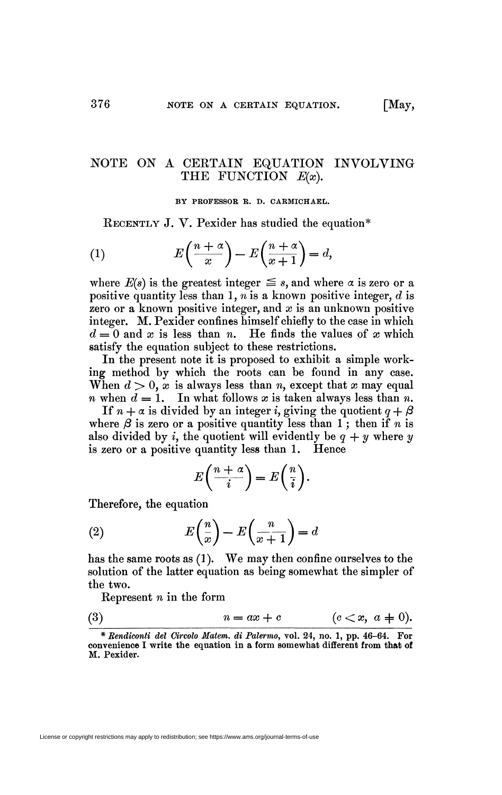## NOTE ON A CEETAIN EQUATION INVOLVING THE FUNCTION  $E(x)$ .

BY PROFESSOR R. D. CARMICHAEL.

RECENTLY J. V. Pexider has studied the equation\*

(1) 
$$
E\left(\frac{n+\alpha}{x}\right) - E\left(\frac{n+\alpha}{x+1}\right) = d,
$$

where  $E(s)$  is the greatest integer  $\leq s$ , and where  $\alpha$  is zero or a positive quantity less than 1, *n* is a known positive integer, *d* is zero or a known positive integer, and *x* is an unknown positive integer. M. Pexider confines himself chiefly to the case in which  $d = 0$  and x is less than n. He finds the values of x which satisfy the equation subject to these restrictions.

In the present note it is proposed to exhibit a simple working method by which the roots can be found in any case. When  $d > 0$ , x is always less than *n*, except that x may equal *n* when  $d = 1$ . In what follows x is taken always less than *n*.

If  $n + \alpha$  is divided by an integer *i*, giving the quotient  $q + \beta$ where  $\beta$  is zero or a positive quantity less than 1; then if *n* is also divided by *i*, the quotient will evidently be  $q + y$  where y is zero or a positive quantity less than 1. Hence

$$
E\left(\frac{n+\alpha}{i}\right) = E\left(\frac{n}{i}\right).
$$

Therefore, the equation

(2) 
$$
E\left(\frac{n}{x}\right) - E\left(\frac{n}{x+1}\right) = d
$$

has the same roots as (1). We may then confine ourselves to the solution of the latter equation as being somewhat the simpler of the two.

Represent *n* in the form

$$
(3) \qquad \qquad n = ax + c \qquad \qquad (c < x, \ a \neq 0).
$$

<sup>\*</sup> *Rendiconti del Circolo Matem. di Palermo,* vol. 24, no. 1, pp. 46-64. For convenience I write the equation in a form somewhat different from that of M. Pexider.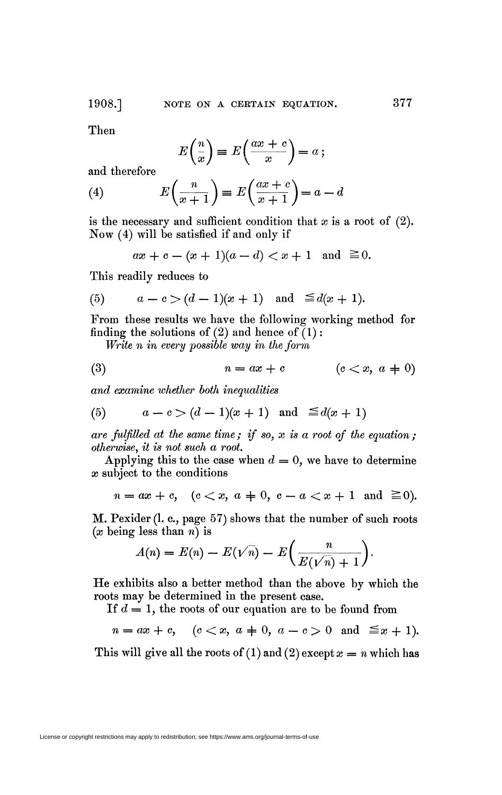Then

$$
E\left(\frac{n}{x}\right) \equiv E\left(\frac{ax+c}{x}\right) = a \ ;
$$

and therefore

(4) 
$$
E\left(\frac{n}{x+1}\right) \equiv E\left(\frac{ax+c}{x+1}\right) = a - d
$$

is the necessary and sufficient condition that *x* is a root of (2). Now (4) will be satisfied if and only if

$$
ax + c - (x + 1)(a - d) < x + 1
$$
 and  $\ge 0$ .

This readily reduces to

(5) 
$$
a-c > (d-1)(x+1)
$$
 and  $\leq d(x+1)$ .

From these results we have the following working method for finding the solutions of  $(2)$  and hence of  $(1)$ :

*Write n in every possible way in the form* 

$$
(3) \qquad \qquad n = ax + c \qquad \qquad (c < x, \ a \neq 0)
$$

*and examine whether both inequalities* 

(5) 
$$
a-c > (d-1)(x+1)
$$
 and  $\leq d(x+1)$ 

*are fulfilled at the same time ; if so, x is a root of the equation ; otherwise, it is not such a root* 

Applying this to the case when  $d = 0$ , we have to determine *x* subject to the conditions

$$
n = ax + c, \quad (c < x, \ a = 0, \ c - a < x + 1 \ \text{and} \ \geq 0).
$$

M. Pexider (l. c., page 57) shows that the number of such roots *(x* being less than *n)* is

$$
A(n) = E(n) - E(\sqrt{n}) - E\left(\frac{n}{E(\sqrt{n})+1}\right).
$$

He exhibits also a better method than the above by which the roots may be determined in the present case.

If *d* = 1, the roots of our equation are to be found from

 $n = ax + c$ ,  $(c < x, a \neq 0, a - c > 0 \text{ and } \leq x + 1)$ .

This will give all the roots of  $(1)$  and  $(2)$  except  $x = n$  which has